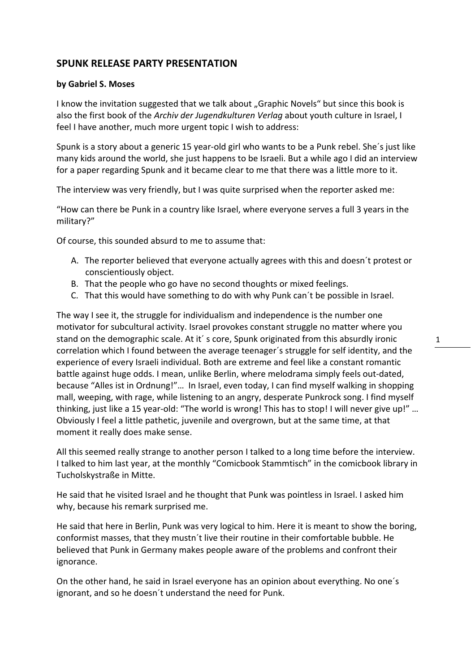## **SPUNK RELEASE PARTY PRESENTATION**

## **by Gabriel S. Moses**

I know the invitation suggested that we talk about "Graphic Novels" but since this book is also the first book of the *Archiv der Jugendkulturen Verlag* about youth culture in Israel, I feel I have another, much more urgent topic I wish to address:

Spunk is a story about a generic 15 year‐old girl who wants to be a Punk rebel. She´s just like many kids around the world, she just happens to be Israeli. But a while ago I did an interview for a paper regarding Spunk and it became clear to me that there was a little more to it.

The interview was very friendly, but I was quite surprised when the reporter asked me:

"How can there be Punk in a country like Israel, where everyone serves a full 3 years in the military?"

Of course, this sounded absurd to me to assume that:

- A. The reporter believed that everyone actually agrees with this and doesn´t protest or conscientiously object.
- B. That the people who go have no second thoughts or mixed feelings.
- C. That this would have something to do with why Punk can´t be possible in Israel.

The way I see it, the struggle for individualism and independence is the number one motivator for subcultural activity. Israel provokes constant struggle no matter where you stand on the demographic scale. At it´ s core, Spunk originated from this absurdly ironic correlation which I found between the average teenager´s struggle for self identity, and the experience of every Israeli individual. Both are extreme and feel like a constant romantic battle against huge odds. I mean, unlike Berlin, where melodrama simply feels out‐dated, because "Alles ist in Ordnung!"… In Israel, even today, I can find myself walking in shopping mall, weeping, with rage, while listening to an angry, desperate Punkrock song. I find myself thinking, just like a 15 year‐old: "The world is wrong! This has to stop! I will never give up!" … Obviously I feel a little pathetic, juvenile and overgrown, but at the same time, at that moment it really does make sense.

All this seemed really strange to another person I talked to a long time before the interview. I talked to him last year, at the monthly "Comicbook Stammtisch" in the comicbook library in Tucholskystraße in Mitte.

He said that he visited Israel and he thought that Punk was pointless in Israel. I asked him why, because his remark surprised me.

He said that here in Berlin, Punk was very logical to him. Here it is meant to show the boring, conformist masses, that they mustn´t live their routine in their comfortable bubble. He believed that Punk in Germany makes people aware of the problems and confront their ignorance.

On the other hand, he said in Israel everyone has an opinion about everything. No one´s ignorant, and so he doesn´t understand the need for Punk.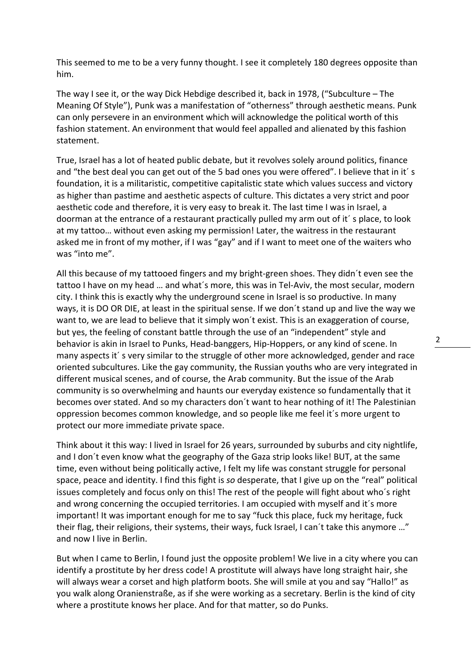This seemed to me to be a very funny thought. I see it completely 180 degrees opposite than him.

The way I see it, or the way Dick Hebdige described it, back in 1978, ("Subculture – The Meaning Of Style"), Punk was a manifestation of "otherness" through aesthetic means. Punk can only persevere in an environment which will acknowledge the political worth of this fashion statement. An environment that would feel appalled and alienated by this fashion statement.

True, Israel has a lot of heated public debate, but it revolves solely around politics, finance and "the best deal you can get out of the 5 bad ones you were offered". I believe that in it's foundation, it is a militaristic, competitive capitalistic state which values success and victory as higher than pastime and aesthetic aspects of culture. This dictates a very strict and poor aesthetic code and therefore, it is very easy to break it. The last time I was in Israel, a doorman at the entrance of a restaurant practically pulled my arm out of it´ s place, to look at my tattoo… without even asking my permission! Later, the waitress in the restaurant asked me in front of my mother, if I was "gay" and if I want to meet one of the waiters who was "into me".

All this because of my tattooed fingers and my bright‐green shoes. They didn´t even see the tattoo I have on my head … and what´s more, this was in Tel‐Aviv, the most secular, modern city. I think this is exactly why the underground scene in Israel is so productive. In many ways, it is DO OR DIE, at least in the spiritual sense. If we don´t stand up and live the way we want to, we are lead to believe that it simply won't exist. This is an exaggeration of course, but yes, the feeling of constant battle through the use of an "independent" style and behavior is akin in Israel to Punks, Head‐banggers, Hip‐Hoppers, or any kind of scene. In many aspects it´ s very similar to the struggle of other more acknowledged, gender and race oriented subcultures. Like the gay community, the Russian youths who are very integrated in different musical scenes, and of course, the Arab community. But the issue of the Arab community is so overwhelming and haunts our everyday existence so fundamentally that it becomes over stated. And so my characters don´t want to hear nothing of it! The Palestinian oppression becomes common knowledge, and so people like me feel it´s more urgent to protect our more immediate private space.

Think about it this way: I lived in Israel for 26 years, surrounded by suburbs and city nightlife, and I don't even know what the geography of the Gaza strip looks like! BUT, at the same time, even without being politically active, I felt my life was constant struggle for personal space, peace and identity. I find this fight is *so* desperate, that I give up on the "real" political issues completely and focus only on this! The rest of the people will fight about who´s right and wrong concerning the occupied territories. I am occupied with myself and it´s more important! It was important enough for me to say "fuck this place, fuck my heritage, fuck their flag, their religions, their systems, their ways, fuck Israel, I can´t take this anymore …" and now I live in Berlin.

But when I came to Berlin, I found just the opposite problem! We live in a city where you can identify a prostitute by her dress code! A prostitute will always have long straight hair, she will always wear a corset and high platform boots. She will smile at you and say "Hallo!" as you walk along Oranienstraße, as if she were working as a secretary. Berlin is the kind of city where a prostitute knows her place. And for that matter, so do Punks.